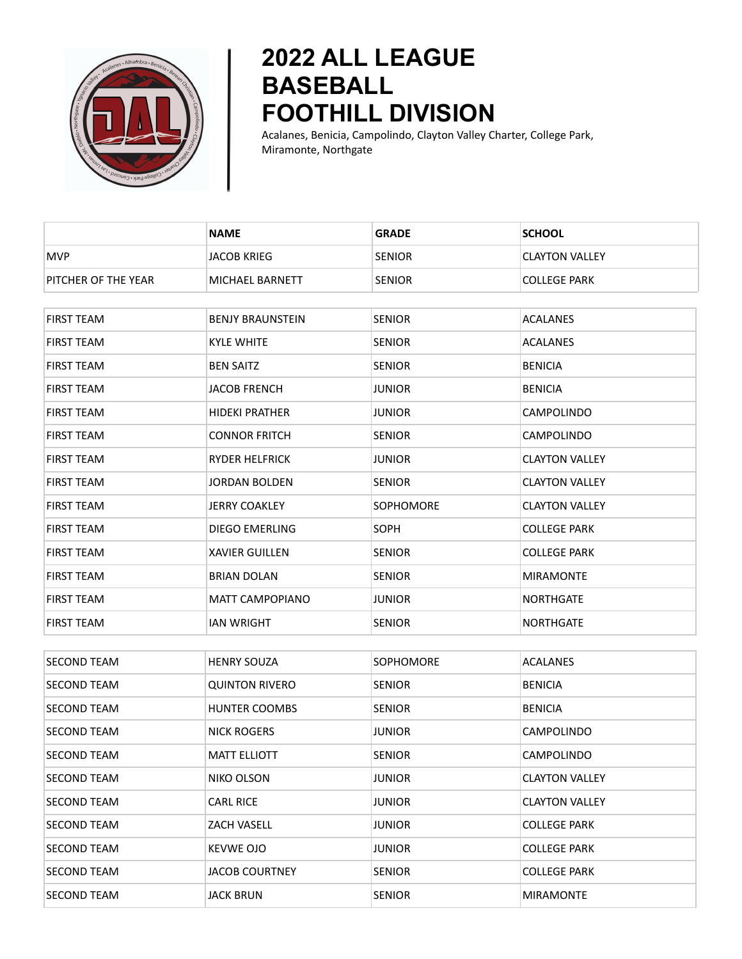

## **2022 ALL LEAGUE BASEBALL FOOTHILL DIVISION**

Acalanes, Benicia, Campolindo, Clayton Valley Charter, College Park, Miramonte, Northgate

|                     | <b>NAME</b>             | <b>GRADE</b>     | <b>SCHOOL</b>         |
|---------------------|-------------------------|------------------|-----------------------|
| <b>MVP</b>          | <b>JACOB KRIEG</b>      | <b>SENIOR</b>    | <b>CLAYTON VALLEY</b> |
| PITCHER OF THE YEAR | MICHAEL BARNETT         | <b>SENIOR</b>    | <b>COLLEGE PARK</b>   |
|                     |                         |                  |                       |
| FIRST TEAM          | <b>BENJY BRAUNSTEIN</b> | <b>SENIOR</b>    | ACALANES              |
| <b>FIRST TEAM</b>   | <b>KYLE WHITE</b>       | <b>SENIOR</b>    | <b>ACALANES</b>       |
| FIRST TEAM          | <b>BEN SAITZ</b>        | <b>SENIOR</b>    | <b>BENICIA</b>        |
| FIRST TEAM          | <b>JACOB FRENCH</b>     | <b>JUNIOR</b>    | <b>BENICIA</b>        |
| FIRST TEAM          | <b>HIDEKI PRATHER</b>   | <b>JUNIOR</b>    | CAMPOLINDO            |
| FIRST TEAM          | <b>CONNOR FRITCH</b>    | <b>SENIOR</b>    | CAMPOLINDO            |
| <b>FIRST TEAM</b>   | <b>RYDER HELFRICK</b>   | <b>JUNIOR</b>    | <b>CLAYTON VALLEY</b> |
| FIRST TEAM          | <b>JORDAN BOLDEN</b>    | <b>SENIOR</b>    | <b>CLAYTON VALLEY</b> |
| FIRST TEAM          | <b>JERRY COAKLEY</b>    | <b>SOPHOMORE</b> | <b>CLAYTON VALLEY</b> |
| <b>FIRST TEAM</b>   | <b>DIEGO EMERLING</b>   | SOPH             | <b>COLLEGE PARK</b>   |
| FIRST TEAM          | <b>XAVIER GUILLEN</b>   | <b>SENIOR</b>    | <b>COLLEGE PARK</b>   |
| <b>FIRST TEAM</b>   | <b>BRIAN DOLAN</b>      | <b>SENIOR</b>    | <b>MIRAMONTE</b>      |
| FIRST TEAM          | <b>MATT CAMPOPIANO</b>  | <b>JUNIOR</b>    | NORTHGATE             |
| FIRST TEAM          | <b>IAN WRIGHT</b>       | <b>SENIOR</b>    | NORTHGATE             |
|                     |                         |                  |                       |
| <b>SECOND TEAM</b>  | <b>HENRY SOUZA</b>      | <b>SOPHOMORE</b> | ACALANES              |
| <b>SECOND TEAM</b>  | <b>QUINTON RIVERO</b>   | <b>SENIOR</b>    | <b>BENICIA</b>        |
| <b>SECOND TEAM</b>  | <b>HUNTER COOMBS</b>    | <b>SENIOR</b>    | <b>BENICIA</b>        |
| <b>SECOND TEAM</b>  | NICK ROGERS             | <b>JUNIOR</b>    | CAMPOLINDO            |
| <b>SECOND TEAM</b>  | <b>MATT ELLIOTT</b>     | <b>SENIOR</b>    | CAMPOLINDO            |
| SECOND TEAM         | NIKO OLSON              | <b>JUNIOR</b>    | <b>CLAYTON VALLEY</b> |
| <b>SECOND TEAM</b>  | <b>CARL RICE</b>        | <b>JUNIOR</b>    | <b>CLAYTON VALLEY</b> |
| <b>SECOND TEAM</b>  | ZACH VASELL             | <b>JUNIOR</b>    | <b>COLLEGE PARK</b>   |
| <b>SECOND TEAM</b>  | <b>KEVWE OJO</b>        | <b>JUNIOR</b>    | COLLEGE PARK          |
| <b>SECOND TEAM</b>  | <b>JACOB COURTNEY</b>   | <b>SENIOR</b>    | COLLEGE PARK          |

SECOND TEAM **JACK BRUN** SENIOR SENIOR MIRAMONTE